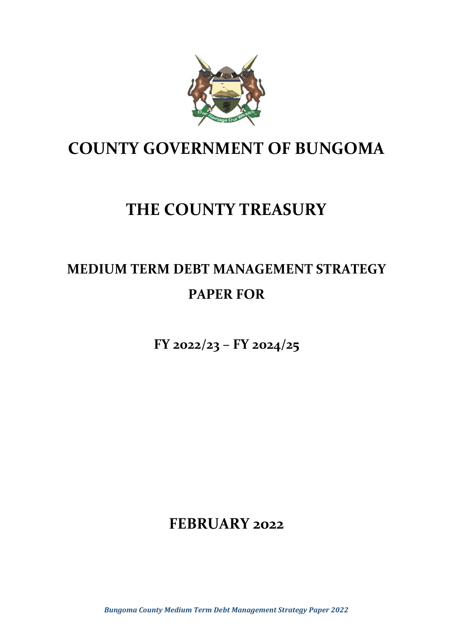

# **COUNTY GOVERNMENT OF BUNGOMA**

# **THE COUNTY TREASURY**

# **MEDIUM TERM DEBT MANAGEMENT STRATEGY PAPER FOR**

**FY 2022/23 – FY 2024/25**

**FEBRUARY 2022**

*Bungoma County Medium Term Debt Management Strategy Paper 2022*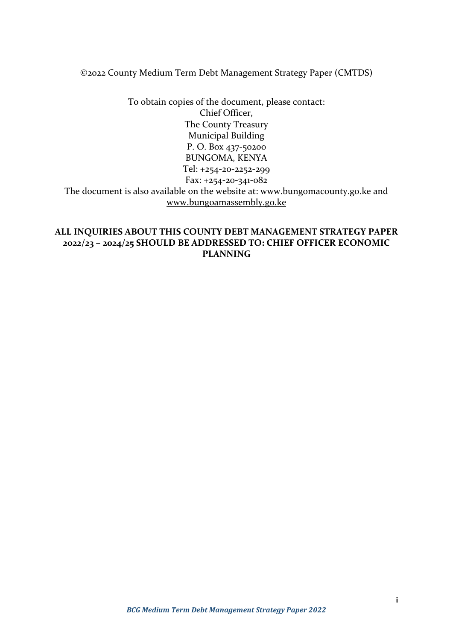©2022 County Medium Term Debt Management Strategy Paper (CMTDS)

To obtain copies of the document, please contact: Chief Officer, The County Treasury Municipal Building P. O. Box 437-50200 BUNGOMA, KENYA Tel: +254-20-2252-299 Fax: +254-20-341-082 The document is also available on the website at: www.bungomacounty.go.ke and [www.bungoamassembly.go.ke](http://www.bungoamassembly.go.ke/)

#### **ALL INQUIRIES ABOUT THIS COUNTY DEBT MANAGEMENT STRATEGY PAPER 2022/23 – 2024/25 SHOULD BE ADDRESSED TO: CHIEF OFFICER ECONOMIC PLANNING**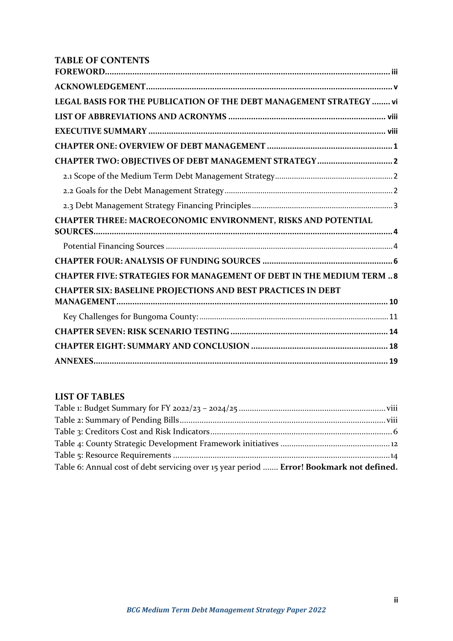# **TABLE OF CONTENTS**

| LEGAL BASIS FOR THE PUBLICATION OF THE DEBT MANAGEMENT STRATEGY  vi             |  |
|---------------------------------------------------------------------------------|--|
|                                                                                 |  |
|                                                                                 |  |
|                                                                                 |  |
|                                                                                 |  |
|                                                                                 |  |
|                                                                                 |  |
|                                                                                 |  |
| CHAPTER THREE: MACROECONOMIC ENVIRONMENT, RISKS AND POTENTIAL<br><b>SOURCES</b> |  |
|                                                                                 |  |
|                                                                                 |  |
| <b>CHAPTER FIVE: STRATEGIES FOR MANAGEMENT OF DEBT IN THE MEDIUM TERM  8</b>    |  |
| <b>CHAPTER SIX: BASELINE PROJECTIONS AND BEST PRACTICES IN DEBT</b>             |  |
|                                                                                 |  |
|                                                                                 |  |
|                                                                                 |  |
|                                                                                 |  |
|                                                                                 |  |

#### **LIST OF TABLES**

| Table 6: Annual cost of debt servicing over 15 year period  Error! Bookmark not defined. |  |
|------------------------------------------------------------------------------------------|--|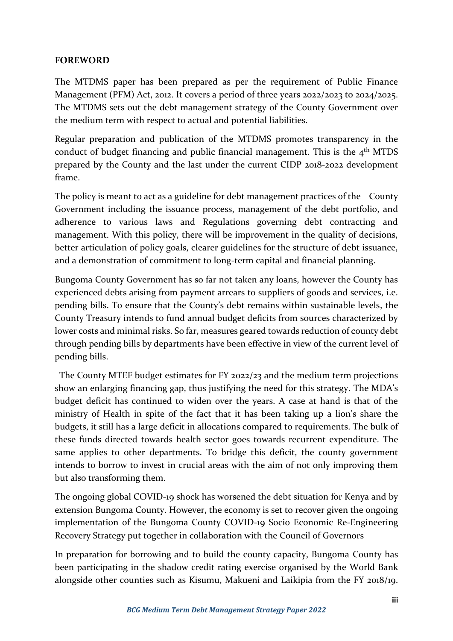### <span id="page-3-0"></span>**FOREWORD**

The MTDMS paper has been prepared as per the requirement of Public Finance Management (PFM) Act, 2012. It covers a period of three years 2022/2023 to 2024/2025. The MTDMS sets out the debt management strategy of the County Government over the medium term with respect to actual and potential liabilities.

Regular preparation and publication of the MTDMS promotes transparency in the conduct of budget financing and public financial management. This is the  $4<sup>th</sup>$  MTDS prepared by the County and the last under the current CIDP 2018-2022 development frame.

The policy is meant to act as a guideline for debt management practices of the County Government including the issuance process, management of the debt portfolio, and adherence to various laws and Regulations governing debt contracting and management. With this policy, there will be improvement in the quality of decisions, better articulation of policy goals, clearer guidelines for the structure of debt issuance, and a demonstration of commitment to long-term capital and financial planning.

Bungoma County Government has so far not taken any loans, however the County has experienced debts arising from payment arrears to suppliers of goods and services, i.e. pending bills. To ensure that the County's debt remains within sustainable levels, the County Treasury intends to fund annual budget deficits from sources characterized by lower costs and minimal risks. So far, measures geared towards reduction of county debt through pending bills by departments have been effective in view of the current level of pending bills.

 The County MTEF budget estimates for FY 2022/23 and the medium term projections show an enlarging financing gap, thus justifying the need for this strategy. The MDA's budget deficit has continued to widen over the years. A case at hand is that of the ministry of Health in spite of the fact that it has been taking up a lion's share the budgets, it still has a large deficit in allocations compared to requirements. The bulk of these funds directed towards health sector goes towards recurrent expenditure. The same applies to other departments. To bridge this deficit, the county government intends to borrow to invest in crucial areas with the aim of not only improving them but also transforming them.

The ongoing global COVID-19 shock has worsened the debt situation for Kenya and by extension Bungoma County. However, the economy is set to recover given the ongoing implementation of the Bungoma County COVID-19 Socio Economic Re-Engineering Recovery Strategy put together in collaboration with the Council of Governors

In preparation for borrowing and to build the county capacity, Bungoma County has been participating in the shadow credit rating exercise organised by the World Bank alongside other counties such as Kisumu, Makueni and Laikipia from the FY 2018/19.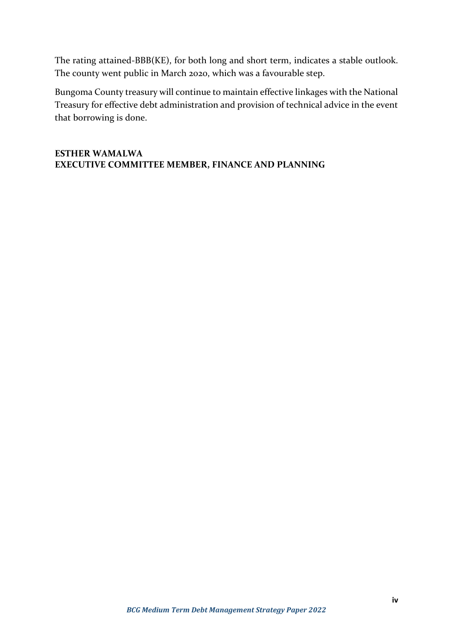The rating attained-BBB(KE), for both long and short term, indicates a stable outlook. The county went public in March 2020, which was a favourable step.

Bungoma County treasury will continue to maintain effective linkages with the National Treasury for effective debt administration and provision of technical advice in the event that borrowing is done.

#### **ESTHER WAMALWA EXECUTIVE COMMITTEE MEMBER, FINANCE AND PLANNING**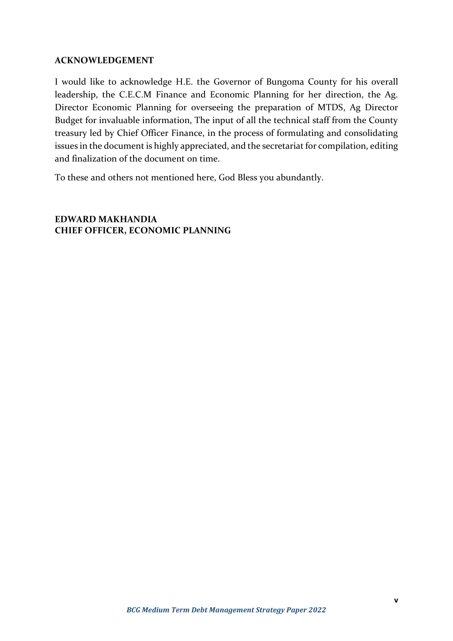#### <span id="page-5-0"></span>**ACKNOWLEDGEMENT**

I would like to acknowledge H.E. the Governor of Bungoma County for his overall leadership, the C.E.C.M Finance and Economic Planning for her direction, the Ag. Director Economic Planning for overseeing the preparation of MTDS, Ag Director Budget for invaluable information, The input of all the technical staff from the County treasury led by Chief Officer Finance, in the process of formulating and consolidating issues in the document is highly appreciated, and the secretariat for compilation, editing and finalization of the document on time.

To these and others not mentioned here, God Bless you abundantly.

**EDWARD MAKHANDIA CHIEF OFFICER, ECONOMIC PLANNING**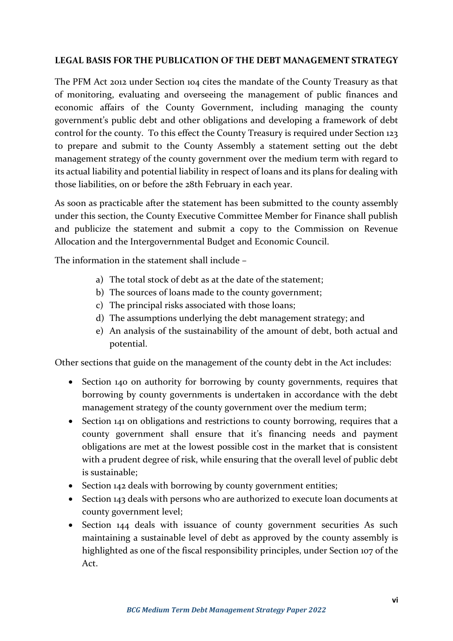#### <span id="page-6-0"></span>**LEGAL BASIS FOR THE PUBLICATION OF THE DEBT MANAGEMENT STRATEGY**

The PFM Act 2012 under Section 104 cites the mandate of the County Treasury as that of monitoring, evaluating and overseeing the management of public finances and economic affairs of the County Government, including managing the county government's public debt and other obligations and developing a framework of debt control for the county. To this effect the County Treasury is required under Section 123 to prepare and submit to the County Assembly a statement setting out the debt management strategy of the county government over the medium term with regard to its actual liability and potential liability in respect of loans and its plans for dealing with those liabilities, on or before the 28th February in each year.

As soon as practicable after the statement has been submitted to the county assembly under this section, the County Executive Committee Member for Finance shall publish and publicize the statement and submit a copy to the Commission on Revenue Allocation and the Intergovernmental Budget and Economic Council.

The information in the statement shall include –

- a) The total stock of debt as at the date of the statement;
- b) The sources of loans made to the county government;
- c) The principal risks associated with those loans;
- d) The assumptions underlying the debt management strategy; and
- e) An analysis of the sustainability of the amount of debt, both actual and potential.

Other sections that guide on the management of the county debt in the Act includes:

- Section 140 on authority for borrowing by county governments, requires that borrowing by county governments is undertaken in accordance with the debt management strategy of the county government over the medium term;
- Section 141 on obligations and restrictions to county borrowing, requires that a county government shall ensure that it's financing needs and payment obligations are met at the lowest possible cost in the market that is consistent with a prudent degree of risk, while ensuring that the overall level of public debt is sustainable;
- Section 142 deals with borrowing by county government entities;
- Section 143 deals with persons who are authorized to execute loan documents at county government level;
- Section 144 deals with issuance of county government securities As such maintaining a sustainable level of debt as approved by the county assembly is highlighted as one of the fiscal responsibility principles, under Section 107 of the Act.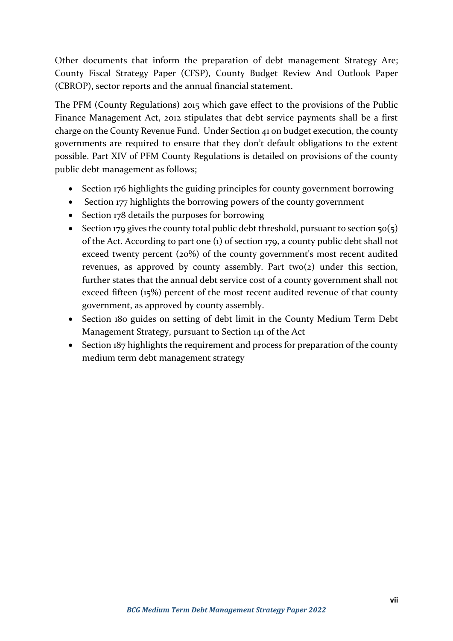Other documents that inform the preparation of debt management Strategy Are; County Fiscal Strategy Paper (CFSP), County Budget Review And Outlook Paper (CBROP), sector reports and the annual financial statement.

The PFM (County Regulations) 2015 which gave effect to the provisions of the Public Finance Management Act, 2012 stipulates that debt service payments shall be a first charge on the County Revenue Fund. Under Section 41 on budget execution, the county governments are required to ensure that they don't default obligations to the extent possible. Part XIV of PFM County Regulations is detailed on provisions of the county public debt management as follows;

- Section 176 highlights the guiding principles for county government borrowing
- Section 177 highlights the borrowing powers of the county government
- Section 178 details the purposes for borrowing
- Section 179 gives the county total public debt threshold, pursuant to section  $50(5)$ of the Act. According to part one (1) of section 179, a county public debt shall not exceed twenty percent (20%) of the county government's most recent audited revenues, as approved by county assembly. Part two(2) under this section, further states that the annual debt service cost of a county government shall not exceed fifteen (15%) percent of the most recent audited revenue of that county government, as approved by county assembly.
- Section 180 guides on setting of debt limit in the County Medium Term Debt Management Strategy, pursuant to Section 141 of the Act
- Section 187 highlights the requirement and process for preparation of the county medium term debt management strategy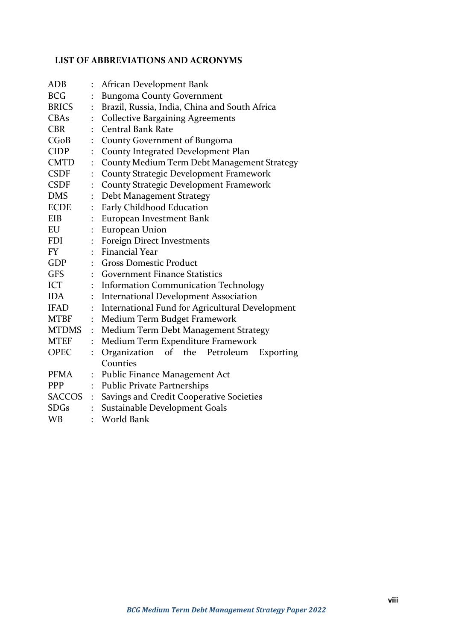# <span id="page-8-0"></span>**LIST OF ABBREVIATIONS AND ACRONYMS**

| <b>ADB</b>    |                      | African Development Bank                        |  |  |  |  |
|---------------|----------------------|-------------------------------------------------|--|--|--|--|
| <b>BCG</b>    |                      | <b>Bungoma County Government</b>                |  |  |  |  |
| <b>BRICS</b>  |                      | Brazil, Russia, India, China and South Africa   |  |  |  |  |
| <b>CBAs</b>   |                      | <b>Collective Bargaining Agreements</b>         |  |  |  |  |
| <b>CBR</b>    |                      | <b>Central Bank Rate</b>                        |  |  |  |  |
| CGoB          |                      | County Government of Bungoma                    |  |  |  |  |
| <b>CIDP</b>   |                      | County Integrated Development Plan              |  |  |  |  |
| <b>CMTD</b>   | $\ddot{\cdot}$       | County Medium Term Debt Management Strategy     |  |  |  |  |
| <b>CSDF</b>   |                      | County Strategic Development Framework          |  |  |  |  |
| <b>CSDF</b>   |                      | <b>County Strategic Development Framework</b>   |  |  |  |  |
| <b>DMS</b>    | $\ddot{\cdot}$       | Debt Management Strategy                        |  |  |  |  |
| <b>ECDE</b>   | $\ddot{\cdot}$       | Early Childhood Education                       |  |  |  |  |
| EIB           |                      | European Investment Bank                        |  |  |  |  |
| EU            |                      | European Union                                  |  |  |  |  |
| <b>FDI</b>    |                      | Foreign Direct Investments                      |  |  |  |  |
| FY            | $\ddot{\cdot}$       | <b>Financial Year</b>                           |  |  |  |  |
| <b>GDP</b>    | $\ddot{\cdot}$       | <b>Gross Domestic Product</b>                   |  |  |  |  |
| <b>GFS</b>    |                      | <b>Government Finance Statistics</b>            |  |  |  |  |
| <b>ICT</b>    |                      | <b>Information Communication Technology</b>     |  |  |  |  |
| <b>IDA</b>    |                      | <b>International Development Association</b>    |  |  |  |  |
| <b>IFAD</b>   |                      | International Fund for Agricultural Development |  |  |  |  |
| <b>MTBF</b>   | $\ddot{\cdot}$       | Medium Term Budget Framework                    |  |  |  |  |
| <b>MTDMS</b>  | ÷                    | Medium Term Debt Management Strategy            |  |  |  |  |
| <b>MTEF</b>   |                      | Medium Term Expenditure Framework               |  |  |  |  |
| OPEC          | $\ddot{\cdot}$       | Organization<br>of the Petroleum<br>Exporting   |  |  |  |  |
|               |                      | Counties                                        |  |  |  |  |
| <b>PFMA</b>   | $\ddot{\phantom{a}}$ | Public Finance Management Act                   |  |  |  |  |
| <b>PPP</b>    |                      | Public Private Partnerships                     |  |  |  |  |
| <b>SACCOS</b> | $\ddot{\cdot}$       | Savings and Credit Cooperative Societies        |  |  |  |  |
| <b>SDGs</b>   |                      | Sustainable Development Goals                   |  |  |  |  |
| <b>WB</b>     |                      | World Bank                                      |  |  |  |  |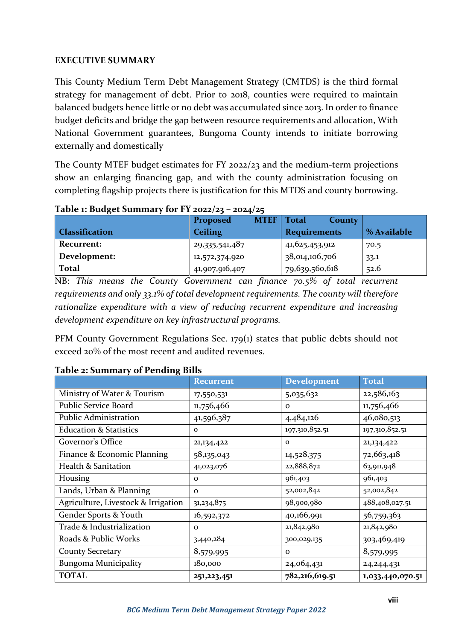## <span id="page-9-0"></span>**EXECUTIVE SUMMARY**

This County Medium Term Debt Management Strategy (CMTDS) is the third formal strategy for management of debt. Prior to 2018, counties were required to maintain balanced budgets hence little or no debt was accumulated since 2013. In order to finance budget deficits and bridge the gap between resource requirements and allocation, With National Government guarantees, Bungoma County intends to initiate borrowing externally and domestically

The County MTEF budget estimates for FY 2022/23 and the medium-term projections show an enlarging financing gap, and with the county administration focusing on completing flagship projects there is justification for this MTDS and county borrowing.

|                       | <b>MTEF</b><br>Proposed | <b>Total</b><br><b>County</b> |             |
|-----------------------|-------------------------|-------------------------------|-------------|
| <b>Classification</b> | <b>Ceiling</b>          | <b>Requirements</b>           | % Available |
| Recurrent:            | 29,335,541,487          | 41, 625, 453, 912             | 70.5        |
| Development:          | 12,572,374,920          | 38,014,106,706                | 33.1        |
| <b>Total</b>          | 41,907,916,407          | 79,639,560,618                | 52.6        |

<span id="page-9-1"></span>**Table 1: Budget Summary for FY 2022/23 – 2024/25**

NB: *This means the County Government can finance 70.5% of total recurrent requirements and only 33.1% of total development requirements. The county will therefore rationalize expenditure with a view of reducing recurrent expenditure and increasing development expenditure on key infrastructural programs.* 

PFM County Government Regulations Sec. 179(1) states that public debts should not exceed 20% of the most recent and audited revenues.

|                                     | <b>Recurrent</b> | <b>Development</b> | <b>Total</b>     |
|-------------------------------------|------------------|--------------------|------------------|
| Ministry of Water & Tourism         | 17,550,531       | 5,035,632          | 22,586,163       |
| <b>Public Service Board</b>         | 11,756,466       | $\mathbf{o}$       | 11,756,466       |
| <b>Public Administration</b>        | 41,596,387       | 4,484,126          | 46,080,513       |
| <b>Education &amp; Statistics</b>   | $\Omega$         | 197,310,852.51     | 197,310,852.51   |
| Governor's Office                   | 21, 134, 422     | $\Omega$           | 21,134,422       |
| Finance & Economic Planning         | 58,135,043       | 14,528,375         | 72,663,418       |
| <b>Health &amp; Sanitation</b>      | 41,023,076       | 22,888,872         | 63,911,948       |
| Housing                             | $\Omega$         | 961,403            | 961,403          |
| Lands, Urban & Planning             | $\Omega$         | 52,002,842         | 52,002,842       |
| Agriculture, Livestock & Irrigation | 31, 234, 875     | 98,900,980         | 488,408,027.51   |
| Gender Sports & Youth               | 16,592,372       | 40,166,991         | 56,759,363       |
| Trade & Industrialization           | $\Omega$         | 21,842,980         | 21,842,980       |
| Roads & Public Works                | 3,440,284        | 300,029,135        | 303,469,419      |
| <b>County Secretary</b>             | 8,579,995        | $\Omega$           | 8,579,995        |
| <b>Bungoma Municipality</b>         | 180,000          | 24,064,431         | 24, 244, 431     |
| <b>TOTAL</b>                        | 251,223,451      | 782,216,619.51     | 1,033,440,070.51 |

#### <span id="page-9-2"></span>**Table 2: Summary of Pending Bills**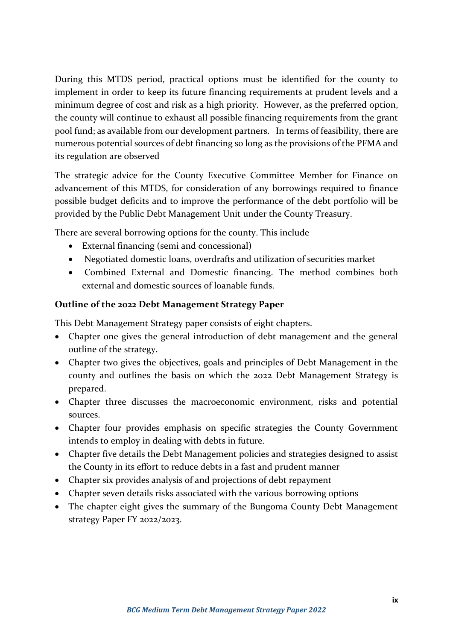During this MTDS period, practical options must be identified for the county to implement in order to keep its future financing requirements at prudent levels and a minimum degree of cost and risk as a high priority. However, as the preferred option, the county will continue to exhaust all possible financing requirements from the grant pool fund; as available from our development partners. In terms of feasibility, there are numerous potential sources of debt financing so long as the provisions of the PFMA and its regulation are observed

The strategic advice for the County Executive Committee Member for Finance on advancement of this MTDS, for consideration of any borrowings required to finance possible budget deficits and to improve the performance of the debt portfolio will be provided by the Public Debt Management Unit under the County Treasury.

There are several borrowing options for the county. This include

- External financing (semi and concessional)
- Negotiated domestic loans, overdrafts and utilization of securities market
- Combined External and Domestic financing. The method combines both external and domestic sources of loanable funds.

## **Outline of the 2022 Debt Management Strategy Paper**

This Debt Management Strategy paper consists of eight chapters.

- Chapter one gives the general introduction of debt management and the general outline of the strategy.
- Chapter two gives the objectives, goals and principles of Debt Management in the county and outlines the basis on which the 2022 Debt Management Strategy is prepared.
- Chapter three discusses the macroeconomic environment, risks and potential sources.
- Chapter four provides emphasis on specific strategies the County Government intends to employ in dealing with debts in future.
- Chapter five details the Debt Management policies and strategies designed to assist the County in its effort to reduce debts in a fast and prudent manner
- Chapter six provides analysis of and projections of debt repayment
- Chapter seven details risks associated with the various borrowing options
- The chapter eight gives the summary of the Bungoma County Debt Management strategy Paper FY 2022/2023.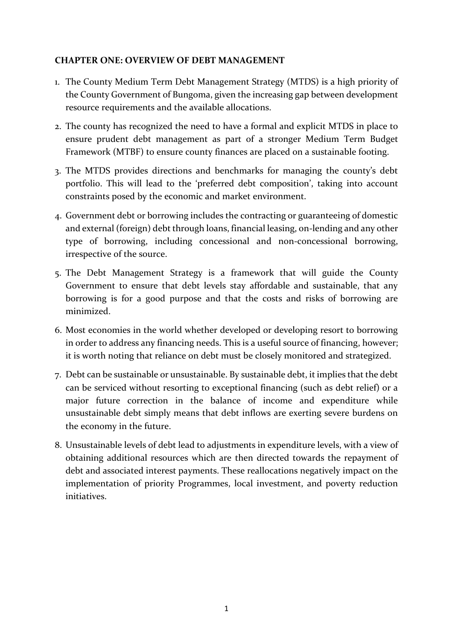## <span id="page-11-0"></span>**CHAPTER ONE: OVERVIEW OF DEBT MANAGEMENT**

- 1. The County Medium Term Debt Management Strategy (MTDS) is a high priority of the County Government of Bungoma, given the increasing gap between development resource requirements and the available allocations.
- 2. The county has recognized the need to have a formal and explicit MTDS in place to ensure prudent debt management as part of a stronger Medium Term Budget Framework (MTBF) to ensure county finances are placed on a sustainable footing.
- 3. The MTDS provides directions and benchmarks for managing the county's debt portfolio. This will lead to the 'preferred debt composition', taking into account constraints posed by the economic and market environment.
- 4. Government debt or borrowing includes the contracting or guaranteeing of domestic and external (foreign) debt through loans, financial leasing, on-lending and any other type of borrowing, including concessional and non-concessional borrowing, irrespective of the source.
- 5. The Debt Management Strategy is a framework that will guide the County Government to ensure that debt levels stay affordable and sustainable, that any borrowing is for a good purpose and that the costs and risks of borrowing are minimized.
- 6. Most economies in the world whether developed or developing resort to borrowing in order to address any financing needs. This is a useful source of financing, however; it is worth noting that reliance on debt must be closely monitored and strategized.
- 7. Debt can be sustainable or unsustainable. By sustainable debt, it implies that the debt can be serviced without resorting to exceptional financing (such as debt relief) or a major future correction in the balance of income and expenditure while unsustainable debt simply means that debt inflows are exerting severe burdens on the economy in the future.
- 8. Unsustainable levels of debt lead to adjustments in expenditure levels, with a view of obtaining additional resources which are then directed towards the repayment of debt and associated interest payments. These reallocations negatively impact on the implementation of priority Programmes, local investment, and poverty reduction initiatives.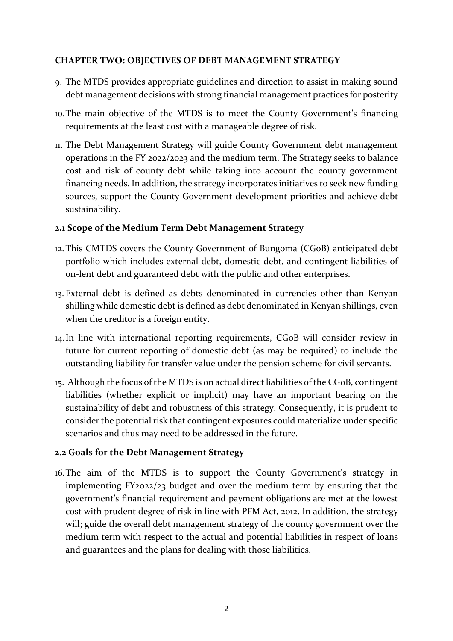## <span id="page-12-0"></span>**CHAPTER TWO: OBJECTIVES OF DEBT MANAGEMENT STRATEGY**

- 9. The MTDS provides appropriate guidelines and direction to assist in making sound debt management decisions with strong financial management practices for posterity
- 10.The main objective of the MTDS is to meet the County Government's financing requirements at the least cost with a manageable degree of risk.
- 11. The Debt Management Strategy will guide County Government debt management operations in the FY 2022/2023 and the medium term. The Strategy seeks to balance cost and risk of county debt while taking into account the county government financing needs. In addition, the strategy incorporates initiatives to seek new funding sources, support the County Government development priorities and achieve debt sustainability.

## <span id="page-12-1"></span>**2.1 Scope of the Medium Term Debt Management Strategy**

- 12.This CMTDS covers the County Government of Bungoma (CGoB) anticipated debt portfolio which includes external debt, domestic debt, and contingent liabilities of on-lent debt and guaranteed debt with the public and other enterprises.
- 13. External debt is defined as debts denominated in currencies other than Kenyan shilling while domestic debt is defined as debt denominated in Kenyan shillings, even when the creditor is a foreign entity.
- 14.In line with international reporting requirements, CGoB will consider review in future for current reporting of domestic debt (as may be required) to include the outstanding liability for transfer value under the pension scheme for civil servants.
- 15. Although the focus of the MTDS is on actual direct liabilities of the CGoB, contingent liabilities (whether explicit or implicit) may have an important bearing on the sustainability of debt and robustness of this strategy. Consequently, it is prudent to consider the potential risk that contingent exposures could materialize under specific scenarios and thus may need to be addressed in the future.

# <span id="page-12-2"></span>**2.2 Goals for the Debt Management Strategy**

16.The aim of the MTDS is to support the County Government's strategy in implementing FY2022/23 budget and over the medium term by ensuring that the government's financial requirement and payment obligations are met at the lowest cost with prudent degree of risk in line with PFM Act, 2012. In addition, the strategy will; guide the overall debt management strategy of the county government over the medium term with respect to the actual and potential liabilities in respect of loans and guarantees and the plans for dealing with those liabilities.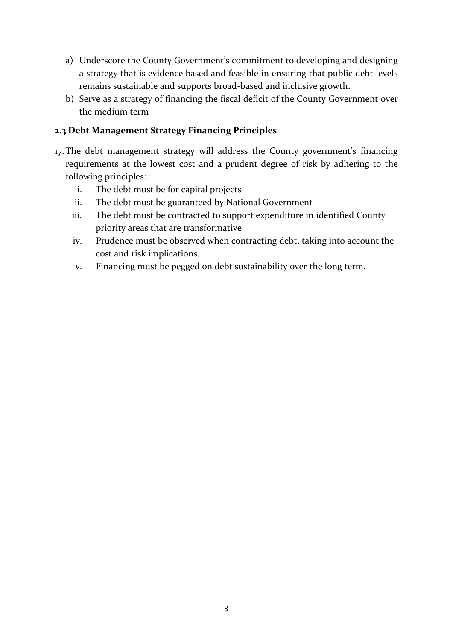- a) Underscore the County Government's commitment to developing and designing a strategy that is evidence based and feasible in ensuring that public debt levels remains sustainable and supports broad-based and inclusive growth.
- b) Serve as a strategy of financing the fiscal deficit of the County Government over the medium term

## <span id="page-13-0"></span>**2.3 Debt Management Strategy Financing Principles**

- 17.The debt management strategy will address the County government's financing requirements at the lowest cost and a prudent degree of risk by adhering to the following principles:
	- i. The debt must be for capital projects
	- ii. The debt must be guaranteed by National Government
	- iii. The debt must be contracted to support expenditure in identified County priority areas that are transformative
	- iv. Prudence must be observed when contracting debt, taking into account the cost and risk implications.
	- v. Financing must be pegged on debt sustainability over the long term.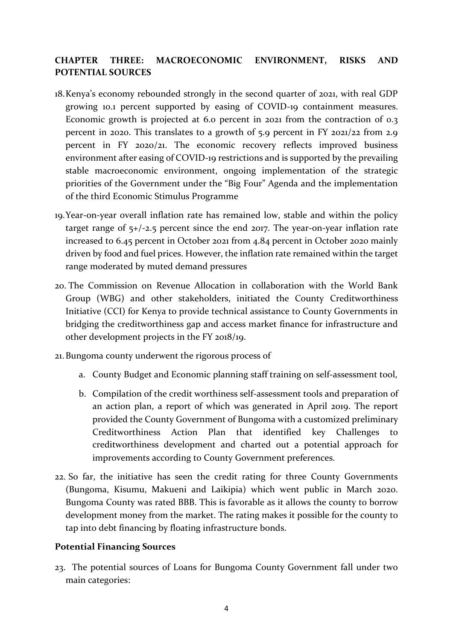# <span id="page-14-0"></span>**CHAPTER THREE: MACROECONOMIC ENVIRONMENT, RISKS AND POTENTIAL SOURCES**

- 18.Kenya's economy rebounded strongly in the second quarter of 2021, with real GDP growing 10.1 percent supported by easing of COVID-19 containment measures. Economic growth is projected at 6.0 percent in 2021 from the contraction of 0.3 percent in 2020. This translates to a growth of 5.9 percent in FY 2021/22 from 2.9 percent in FY 2020/21. The economic recovery reflects improved business environment after easing of COVID-19 restrictions and is supported by the prevailing stable macroeconomic environment, ongoing implementation of the strategic priorities of the Government under the "Big Four" Agenda and the implementation of the third Economic Stimulus Programme
- 19.Year-on-year overall inflation rate has remained low, stable and within the policy target range of 5+/-2.5 percent since the end 2017. The year-on-year inflation rate increased to 6.45 percent in October 2021 from 4.84 percent in October 2020 mainly driven by food and fuel prices. However, the inflation rate remained within the target range moderated by muted demand pressures
- 20. The Commission on Revenue Allocation in collaboration with the World Bank Group (WBG) and other stakeholders, initiated the County Creditworthiness Initiative (CCI) for Kenya to provide technical assistance to County Governments in bridging the creditworthiness gap and access market finance for infrastructure and other development projects in the FY 2018/19.
- 21.Bungoma county underwent the rigorous process of
	- a. County Budget and Economic planning staff training on self-assessment tool,
	- b. Compilation of the credit worthiness self-assessment tools and preparation of an action plan, a report of which was generated in April 2019. The report provided the County Government of Bungoma with a customized preliminary Creditworthiness Action Plan that identified key Challenges to creditworthiness development and charted out a potential approach for improvements according to County Government preferences.
- 22. So far, the initiative has seen the credit rating for three County Governments (Bungoma, Kisumu, Makueni and Laikipia) which went public in March 2020. Bungoma County was rated BBB. This is favorable as it allows the county to borrow development money from the market. The rating makes it possible for the county to tap into debt financing by floating infrastructure bonds.

## <span id="page-14-1"></span>**Potential Financing Sources**

23. The potential sources of Loans for Bungoma County Government fall under two main categories: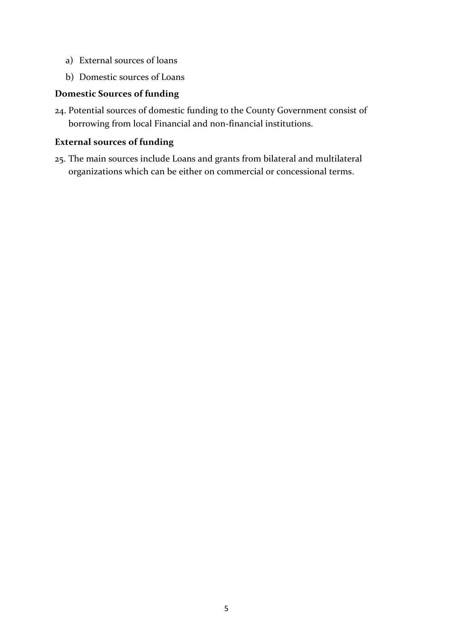- a) External sources of loans
- b) Domestic sources of Loans

#### **Domestic Sources of funding**

24. Potential sources of domestic funding to the County Government consist of borrowing from local Financial and non-financial institutions.

# **External sources of funding**

25. The main sources include Loans and grants from bilateral and multilateral organizations which can be either on commercial or concessional terms.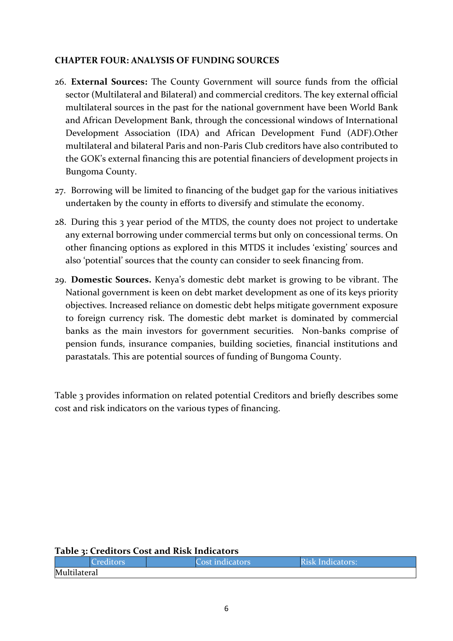#### <span id="page-16-0"></span>**CHAPTER FOUR: ANALYSIS OF FUNDING SOURCES**

- 26. **External Sources:** The County Government will source funds from the official sector (Multilateral and Bilateral) and commercial creditors. The key external official multilateral sources in the past for the national government have been World Bank and African Development Bank, through the concessional windows of International Development Association (IDA) and African Development Fund (ADF).Other multilateral and bilateral Paris and non-Paris Club creditors have also contributed to the GOK's external financing this are potential financiers of development projects in Bungoma County.
- 27. Borrowing will be limited to financing of the budget gap for the various initiatives undertaken by the county in efforts to diversify and stimulate the economy.
- 28. During this 3 year period of the MTDS, the county does not project to undertake any external borrowing under commercial terms but only on concessional terms. On other financing options as explored in this MTDS it includes 'existing' sources and also 'potential' sources that the county can consider to seek financing from.
- 29. **Domestic Sources.** Kenya's domestic debt market is growing to be vibrant. The National government is keen on debt market development as one of its keys priority objectives. Increased reliance on domestic debt helps mitigate government exposure to foreign currency risk. The domestic debt market is dominated by commercial banks as the main investors for government securities. Non-banks comprise of pension funds, insurance companies, building societies, financial institutions and parastatals. This are potential sources of funding of Bungoma County.

Table 3 provides information on related potential Creditors and briefly describes some cost and risk indicators on the various types of financing.

#### <span id="page-16-1"></span>**Table 3: Creditors Cost and Risk Indicators**

|              | 'Creditors | Cost indicators | <b>Risk Indicators:</b> |
|--------------|------------|-----------------|-------------------------|
| Multilateral |            |                 |                         |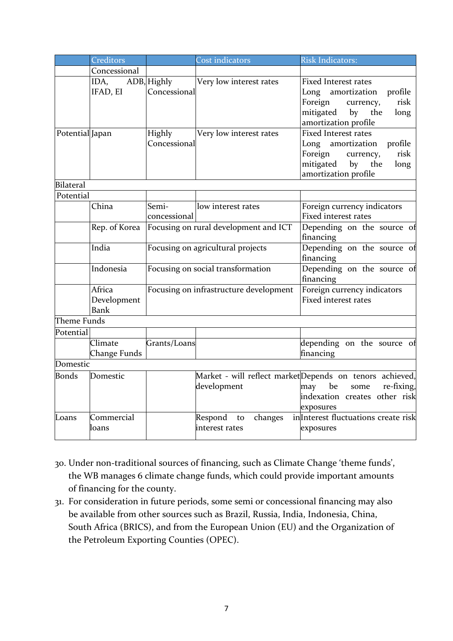|                  | Creditors     |                                   | Cost indicators                        | <b>Risk Indicators:</b>                                       |
|------------------|---------------|-----------------------------------|----------------------------------------|---------------------------------------------------------------|
|                  | Concessional  |                                   |                                        |                                                               |
|                  | IDA,          | $ADB$ , Highly                    | Very low interest rates                | <b>Fixed Interest rates</b>                                   |
|                  | IFAD, EI      | Concessional                      |                                        | amortization<br>Long<br>profile                               |
|                  |               |                                   |                                        | Foreign<br>risk<br>currency,                                  |
|                  |               |                                   |                                        | mitigated<br>by<br>the<br>long                                |
|                  |               |                                   |                                        | amortization profile                                          |
| Potential Japan  |               | <b>Highly</b>                     | Very low interest rates                | <b>Fixed Interest rates</b>                                   |
|                  |               | Concessional                      |                                        | Long amortization<br>profile                                  |
|                  |               |                                   |                                        | Foreign<br>risk<br>currency,<br>mitigated<br>by<br>the        |
|                  |               |                                   |                                        | long<br>amortization profile                                  |
| <b>Bilateral</b> |               |                                   |                                        |                                                               |
| Potential        |               |                                   |                                        |                                                               |
|                  | China         | Semi-                             | low interest rates                     | Foreign currency indicators                                   |
|                  |               | concessional                      |                                        | Fixed interest rates                                          |
|                  | Rep. of Korea |                                   | Focusing on rural development and ICT  | Depending on the source of                                    |
|                  |               |                                   |                                        | financing                                                     |
|                  | India         | Focusing on agricultural projects |                                        | Depending on the source of                                    |
|                  |               |                                   |                                        | financing                                                     |
|                  | Indonesia     | Focusing on social transformation |                                        | Depending on the source of                                    |
|                  |               |                                   |                                        | financing                                                     |
|                  | Africa        |                                   | Focusing on infrastructure development | Foreign currency indicators                                   |
|                  | Development   |                                   |                                        | <b>Fixed interest rates</b>                                   |
|                  | Bank          |                                   |                                        |                                                               |
| Theme Funds      |               |                                   |                                        |                                                               |
| Potential        |               |                                   |                                        |                                                               |
|                  | Climate       | Grants/Loans                      |                                        | depending on the source of                                    |
| Domestic         | Change Funds  |                                   |                                        | financing                                                     |
|                  |               |                                   |                                        |                                                               |
| Bonds            | Domestic      |                                   |                                        | Market - will reflect marketDepends on tenors achieved,<br>be |
|                  |               |                                   | development                            | re-fixing,<br>may<br>some<br>indexation creates other risk    |
|                  |               |                                   |                                        | exposures                                                     |
| Loans            | Commercial    |                                   | Respond<br>changes<br>to               | inlnterest fluctuations create risk                           |
|                  | loans         |                                   | interest rates                         | exposures                                                     |
|                  |               |                                   |                                        |                                                               |

- 30. Under non-traditional sources of financing, such as Climate Change 'theme funds', the WB manages 6 climate change funds, which could provide important amounts of financing for the county.
- 31. For consideration in future periods, some semi or concessional financing may also be available from other sources such as Brazil, Russia, India, Indonesia, China, South Africa (BRICS), and from the European Union (EU) and the Organization of the Petroleum Exporting Counties (OPEC).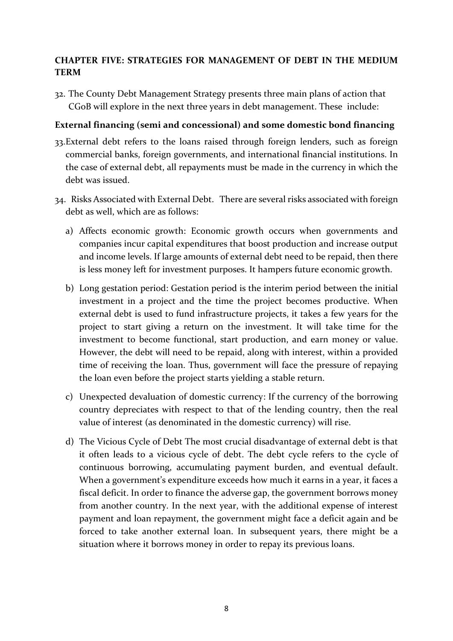# <span id="page-18-0"></span>**CHAPTER FIVE: STRATEGIES FOR MANAGEMENT OF DEBT IN THE MEDIUM TERM**

32. The County Debt Management Strategy presents three main plans of action that CGoB will explore in the next three years in debt management. These include:

#### **External financing (semi and concessional) and some domestic bond financing**

- 33.External debt refers to the loans raised through foreign lenders, such as foreign commercial banks, foreign governments, and international financial institutions. In the case of external debt, all repayments must be made in the currency in which the debt was issued.
- 34. Risks Associated with External Debt. There are several risks associated with foreign debt as well, which are as follows:
	- a) Affects economic growth: Economic growth occurs when governments and companies incur [capital expenditures](https://corporatefinanceinstitute.com/resources/knowledge/accounting/capital-expenditures/) that boost production and increase output and income levels. If large amounts of external debt need to be repaid, then there is less money left for investment purposes. It hampers future economic growth.
	- b) Long gestation period: Gestation period is the interim period between the initial investment in a project and the time the project becomes productive. When external debt is used to fund infrastructure projects, it takes a few years for the project to start giving a return on the investment. It will take time for the investment to become functional, start production, and earn money or value. However, the debt will need to be repaid, along with interest, within a provided time of receiving the loan. Thus, government will face the pressure of repaying the loan even before the project starts yielding a stable return.
	- c) Unexpected devaluation of domestic currency: If the currency of the borrowing country depreciates with respect to that of the lending country, then the real value of interest (as denominated in the domestic currency) will rise.
	- d) The Vicious Cycle of Debt The most crucial disadvantage of external debt is that it often leads to a vicious cycle of debt. The debt cycle refers to the cycle of continuous borrowing, accumulating payment burden, and eventual default. When a government's expenditure exceeds how much it earns in a year, it faces a [fiscal deficit.](https://corporatefinanceinstitute.com/resources/knowledge/finance/budget-deficit/) In order to finance the adverse gap, the government borrows money from another country. In the next year, with the additional expense of interest payment and loan repayment, the government might face a deficit again and be forced to take another external loan. In subsequent years, there might be a situation where it borrows money in order to repay its previous loans.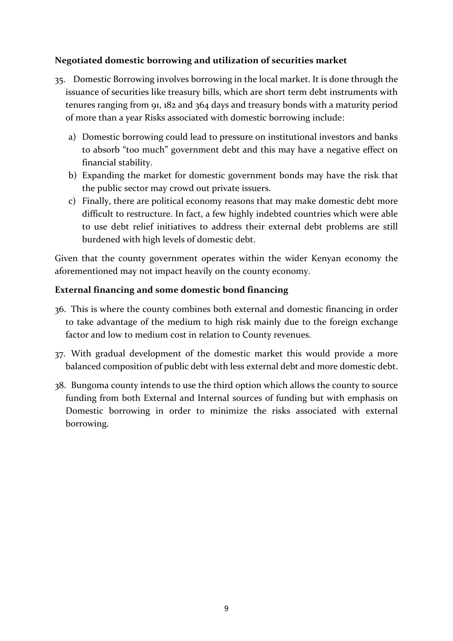## **Negotiated domestic borrowing and utilization of securities market**

- 35. Domestic Borrowing involves borrowing in the local market. It is done through the issuance of securities like treasury bills, which are short term debt instruments with tenures ranging from 91, 182 and 364 days and treasury bonds with a maturity period of more than a year Risks associated with domestic borrowing include:
	- a) Domestic borrowing could lead to pressure on institutional investors and banks to absorb "too much" government debt and this may have a negative effect on financial stability.
	- b) Expanding the market for domestic government bonds may have the risk that the public sector may crowd out private issuers.
	- c) Finally, there are political economy reasons that may make domestic debt more difficult to restructure. In fact, a few highly indebted countries which were able to use debt relief initiatives to address their external debt problems are still burdened with high levels of domestic debt.

Given that the county government operates within the wider Kenyan economy the aforementioned may not impact heavily on the county economy.

# **External financing and some domestic bond financing**

- 36. This is where the county combines both external and domestic financing in order to take advantage of the medium to high risk mainly due to the foreign exchange factor and low to medium cost in relation to County revenues.
- 37. With gradual development of the domestic market this would provide a more balanced composition of public debt with less external debt and more domestic debt.
- 38. Bungoma county intends to use the third option which allows the county to source funding from both External and Internal sources of funding but with emphasis on Domestic borrowing in order to minimize the risks associated with external borrowing.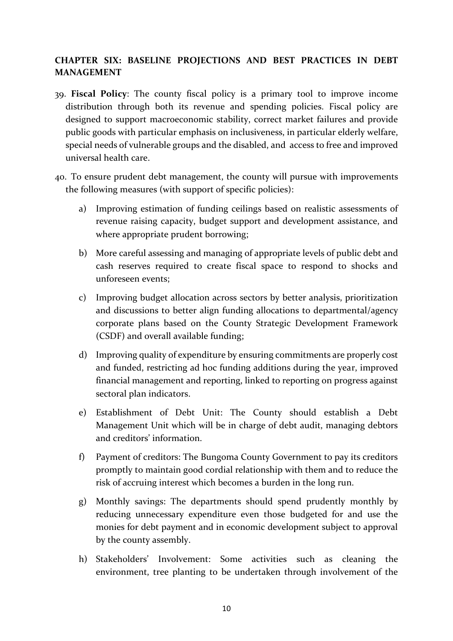# <span id="page-20-0"></span>**CHAPTER SIX: BASELINE PROJECTIONS AND BEST PRACTICES IN DEBT MANAGEMENT**

- 39. **Fiscal Policy**: The county fiscal policy is a primary tool to improve income distribution through both its revenue and spending policies. Fiscal policy are designed to support macroeconomic stability, correct market failures and provide public goods with particular emphasis on inclusiveness, in particular elderly welfare, special needs of vulnerable groups and the disabled, and access to free and improved universal health care.
- 40. To ensure prudent debt management, the county will pursue with improvements the following measures (with support of specific policies):
	- a) Improving estimation of funding ceilings based on realistic assessments of revenue raising capacity, budget support and development assistance, and where appropriate prudent borrowing;
	- b) More careful assessing and managing of appropriate levels of public debt and cash reserves required to create fiscal space to respond to shocks and unforeseen events;
	- c) Improving budget allocation across sectors by better analysis, prioritization and discussions to better align funding allocations to departmental/agency corporate plans based on the County Strategic Development Framework (CSDF) and overall available funding;
	- d) Improving quality of expenditure by ensuring commitments are properly cost and funded, restricting ad hoc funding additions during the year, improved financial management and reporting, linked to reporting on progress against sectoral plan indicators.
	- e) Establishment of Debt Unit: The County should establish a Debt Management Unit which will be in charge of debt audit, managing debtors and creditors' information.
	- f) Payment of creditors: The Bungoma County Government to pay its creditors promptly to maintain good cordial relationship with them and to reduce the risk of accruing interest which becomes a burden in the long run.
	- g) Monthly savings: The departments should spend prudently monthly by reducing unnecessary expenditure even those budgeted for and use the monies for debt payment and in economic development subject to approval by the county assembly.
	- h) Stakeholders' Involvement: Some activities such as cleaning the environment, tree planting to be undertaken through involvement of the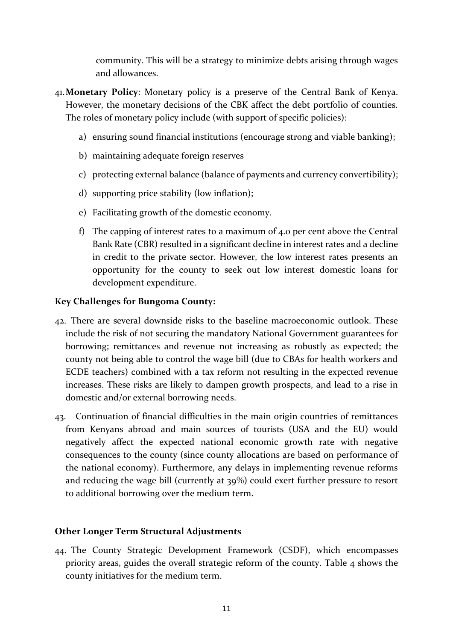community. This will be a strategy to minimize debts arising through wages and allowances.

- 41.**Monetary Policy**: Monetary policy is a preserve of the Central Bank of Kenya. However, the monetary decisions of the CBK affect the debt portfolio of counties. The roles of monetary policy include (with support of specific policies):
	- a) ensuring sound financial institutions (encourage strong and viable banking);
	- b) maintaining adequate foreign reserves
	- c) protecting external balance (balance of payments and currency convertibility);
	- d) supporting price stability (low inflation);
	- e) Facilitating growth of the domestic economy.
	- f) The capping of interest rates to a maximum of 4.0 per cent above the Central Bank Rate (CBR) resulted in a significant decline in interest rates and a decline in credit to the private sector. However, the low interest rates presents an opportunity for the county to seek out low interest domestic loans for development expenditure.

## <span id="page-21-0"></span>**Key Challenges for Bungoma County:**

- 42. There are several downside risks to the baseline macroeconomic outlook. These include the risk of not securing the mandatory National Government guarantees for borrowing; remittances and revenue not increasing as robustly as expected; the county not being able to control the wage bill (due to CBAs for health workers and ECDE teachers) combined with a tax reform not resulting in the expected revenue increases. These risks are likely to dampen growth prospects, and lead to a rise in domestic and/or external borrowing needs.
- 43. Continuation of financial difficulties in the main origin countries of remittances from Kenyans abroad and main sources of tourists (USA and the EU) would negatively affect the expected national economic growth rate with negative consequences to the county (since county allocations are based on performance of the national economy). Furthermore, any delays in implementing revenue reforms and reducing the wage bill (currently at 39%) could exert further pressure to resort to additional borrowing over the medium term.

## **Other Longer Term Structural Adjustments**

44. The County Strategic Development Framework (CSDF), which encompasses priority areas, guides the overall strategic reform of the county. Table 4 shows the county initiatives for the medium term.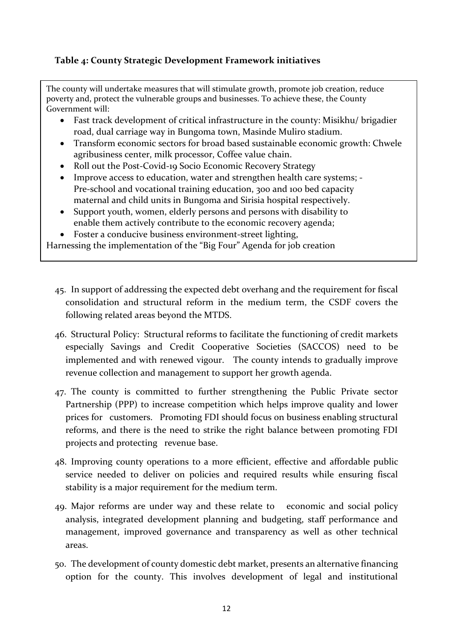# <span id="page-22-0"></span>**Table 4: County Strategic Development Framework initiatives**

The county will undertake measures that will stimulate growth, promote job creation, reduce poverty and, protect the vulnerable groups and businesses. To achieve these, the County Government will:

- Fast track development of critical infrastructure in the county: Misikhu/ brigadier road, dual carriage way in Bungoma town, Masinde Muliro stadium.
- Transform economic sectors for broad based sustainable economic growth: Chwele agribusiness center, milk processor, Coffee value chain.
- Roll out the Post-Covid-19 Socio Economic Recovery Strategy
- Improve access to education, water and strengthen health care systems; Pre-school and vocational training education, 300 and 100 bed capacity maternal and child units in Bungoma and Sirisia hospital respectively.
- Support youth, women, elderly persons and persons with disability to enable them actively contribute to the economic recovery agenda;
- Foster a conducive business environment-street lighting,

Harnessing the implementation of the "Big Four" Agenda for job creation

- 45. In support of addressing the expected debt overhang and the requirement for fiscal consolidation and structural reform in the medium term, the CSDF covers the following related areas beyond the MTDS.
- 46. Structural Policy: Structural reforms to facilitate the functioning of credit markets especially Savings and Credit Cooperative Societies (SACCOS) need to be implemented and with renewed vigour. The county intends to gradually improve revenue collection and management to support her growth agenda.
- 47. The county is committed to further strengthening the Public Private sector Partnership (PPP) to increase competition which helps improve quality and lower prices for customers. Promoting FDI should focus on business enabling structural reforms, and there is the need to strike the right balance between promoting FDI projects and protecting revenue base.
- 48. Improving county operations to a more efficient, effective and affordable public service needed to deliver on policies and required results while ensuring fiscal stability is a major requirement for the medium term.
- 49. Major reforms are under way and these relate to economic and social policy analysis, integrated development planning and budgeting, staff performance and management, improved governance and transparency as well as other technical areas.
- 50. The development of county domestic debt market, presents an alternative financing option for the county. This involves development of legal and institutional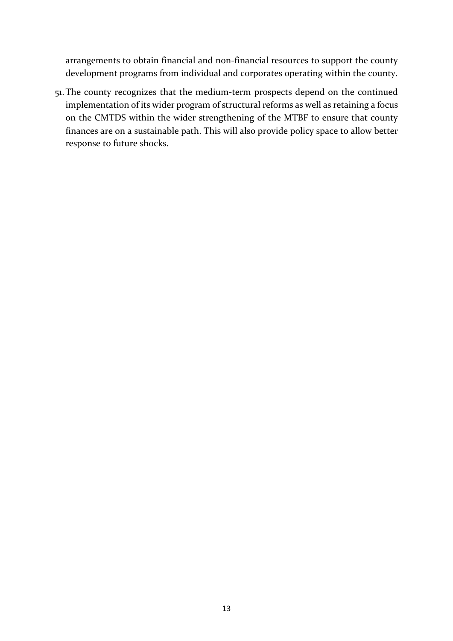arrangements to obtain financial and non-financial resources to support the county development programs from individual and corporates operating within the county.

51.The county recognizes that the medium-term prospects depend on the continued implementation of its wider program of structural reforms as well as retaining a focus on the CMTDS within the wider strengthening of the MTBF to ensure that county finances are on a sustainable path. This will also provide policy space to allow better response to future shocks.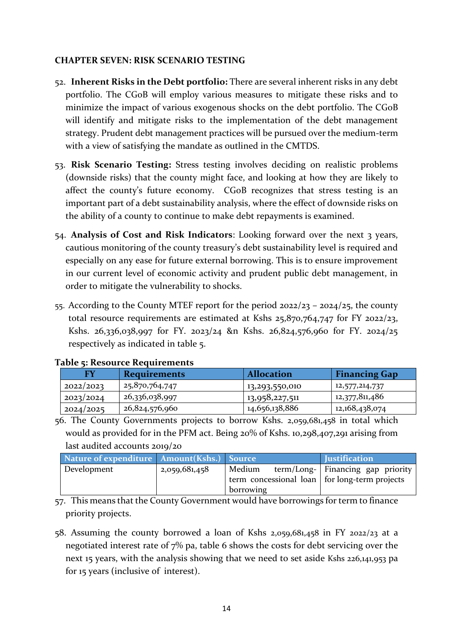#### <span id="page-24-0"></span>**CHAPTER SEVEN: RISK SCENARIO TESTING**

- 52. **Inherent Risks in the Debt portfolio:** There are several inherent risks in any debt portfolio. The CGoB will employ various measures to mitigate these risks and to minimize the impact of various exogenous shocks on the debt portfolio. The CGoB will identify and mitigate risks to the implementation of the debt management strategy. Prudent debt management practices will be pursued over the medium-term with a view of satisfying the mandate as outlined in the CMTDS.
- 53. **Risk Scenario Testing:** Stress testing involves deciding on realistic problems (downside risks) that the county might face, and looking at how they are likely to affect the county's future economy. CGoB recognizes that stress testing is an important part of a debt sustainability analysis, where the effect of downside risks on the ability of a county to continue to make debt repayments is examined.
- 54. **Analysis of Cost and Risk Indicators**: Looking forward over the next 3 years, cautious monitoring of the county treasury's debt sustainability level is required and especially on any ease for future external borrowing. This is to ensure improvement in our current level of economic activity and prudent public debt management, in order to mitigate the vulnerability to shocks.
- 55. According to the County MTEF report for the period 2022/23 2024/25, the county total resource requirements are estimated at Kshs 25,870,764,747 for FY 2022/23, Kshs. 26,336,038,997 for FY. 2023/24 &n Kshs. 26,824,576,960 for FY. 2024/25 respectively as indicated in table 5.

| FY        | <b>Requirements</b> | <b>Allocation</b> | <b>Financing Gap</b> |
|-----------|---------------------|-------------------|----------------------|
| 2022/2023 | 25,870,764,747      | 13,293,550,010    | 12,577,214,737       |
| 2023/2024 | 26,336,038,997      | 13,958,227,511    | 12,377,811,486       |
| 2024/2025 | 26,824,576,960      | 14,656,138,886    | 12,168,438,074       |

#### <span id="page-24-1"></span>**Table 5: Resource Requirements**

56. The County Governments projects to borrow Kshs. 2,059,681,458 in total which would as provided for in the PFM act. Being 20% of Kshs. 10,298,407,291 arising from last audited accounts 2019/20

| Nature of expenditure Amount (Kshs.) Source |               |                                                 | <b>Iustification</b>                |
|---------------------------------------------|---------------|-------------------------------------------------|-------------------------------------|
| Development                                 | 2,059,681,458 | Medium                                          | term/Long-   Financing gap priority |
|                                             |               | term concessional loan   for long-term projects |                                     |
|                                             |               | borrowing                                       |                                     |

57. This means that the County Government would have borrowings for term to finance priority projects.

58. Assuming the county borrowed a loan of Kshs 2,059,681,458 in FY 2022/23 at a negotiated interest rate of 7% pa, table 6 shows the costs for debt servicing over the next 15 years, with the analysis showing that we need to set aside Kshs 226,141,953 pa for 15 years (inclusive of interest).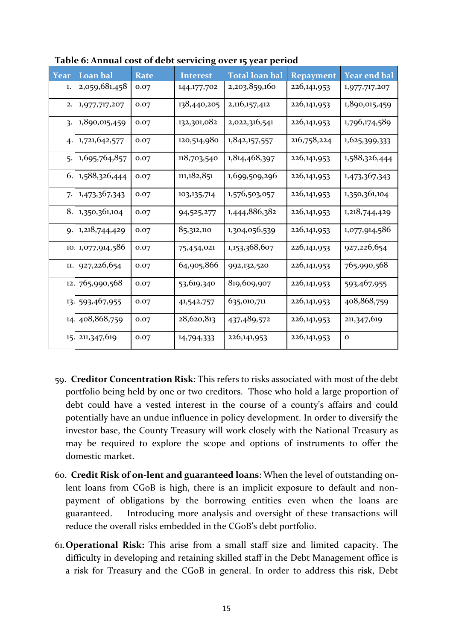| Year           | Loan bal      | <b>Rate</b> | <b>Interest</b> | <b>Total loan bal</b> | <b>Repayment</b> | <b>Year end bal</b> |
|----------------|---------------|-------------|-----------------|-----------------------|------------------|---------------------|
| 1.             | 2,059,681,458 | 0.07        | 144,177,702     | 2,203,859,160         | 226,141,953      | 1,977,717,207       |
| 2.             | 1,977,717,207 | 0.07        | 138,440,205     | 2,116,157,412         | 226,141,953      | 1,890,015,459       |
| $\overline{3}$ | 1,890,015,459 | 0.07        | 132,301,082     | 2,022,316,541         | 226,141,953      | 1,796,174,589       |
| 4.             | 1,721,642,577 | 0.07        | 120,514,980     | 1,842,157,557         | 216,758,224      | 1,625,399,333       |
| 5.             | 1,695,764,857 | 0.07        | 118,703,540     | 1,814,468,397         | 226,141,953      | 1,588,326,444       |
| 6.             | 1,588,326,444 | 0.07        | 111,182,851     | 1,699,509,296         | 226,141,953      | 1,473,367,343       |
| 7.             | 1,473,367,343 | 0.07        | 103, 135, 714   | 1,576,503,057         | 226,141,953      | 1,350,361,104       |
| 8.             | 1,350,361,104 | 0.07        | 94,525,277      | 1,444,886,382         | 226,141,953      | 1,218,744,429       |
| 9.             | 1,218,744,429 | 0.07        | 85,312,110      | 1,304,056,539         | 226,141,953      | 1,077,914,586       |
| 10             | 1,077,914,586 | 0.07        | 75,454,021      | 1,153,368,607         | 226,141,953      | 927,226,654         |
| 11.            | 927,226,654   | 0.07        | 64,905,866      | 992,132,520           | 226,141,953      | 765,990,568         |
| 12             | 765,990,568   | 0.07        | 53,619,340      | 819,609,907           | 226,141,953      | 593,467,955         |
| 13.            | 593,467,955   | 0.07        | 41,542,757      | 635,010,711           | 226,141,953      | 408,868,759         |
| 14.            | 408,868,759   | 0.07        | 28,620,813      | 437,489,572           | 226,141,953      | 211,347,619         |
| 15.            | 211,347,619   | 0.07        | 14,794,333      | 226,141,953           | 226,141,953      | $\mathbf 0$         |

**Table 6: Annual cost of debt servicing over 15 year period**

- 59. **Creditor Concentration Risk**: This refers to risks associated with most of the debt portfolio being held by one or two creditors. Those who hold a large proportion of debt could have a vested interest in the course of a county's affairs and could potentially have an undue influence in policy development. In order to diversify the investor base, the County Treasury will work closely with the National Treasury as may be required to explore the scope and options of instruments to offer the domestic market.
- 60. **Credit Risk of on-lent and guaranteed loans**: When the level of outstanding onlent loans from CGoB is high, there is an implicit exposure to default and nonpayment of obligations by the borrowing entities even when the loans are guaranteed. Introducing more analysis and oversight of these transactions will reduce the overall risks embedded in the CGoB's debt portfolio.
- 61.**Operational Risk:** This arise from a small staff size and limited capacity. The difficulty in developing and retaining skilled staff in the Debt Management office is a risk for Treasury and the CGoB in general. In order to address this risk, Debt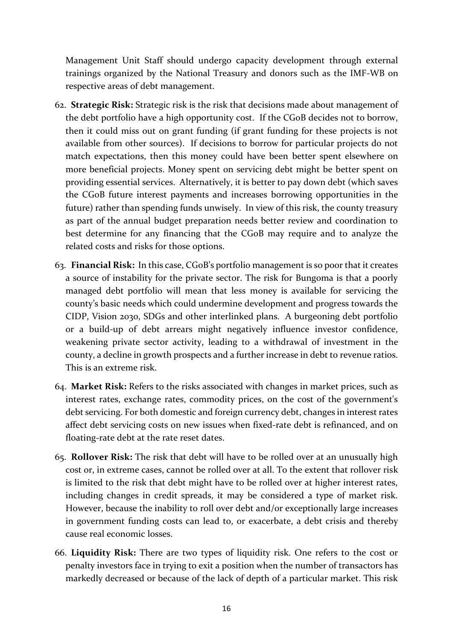Management Unit Staff should undergo capacity development through external trainings organized by the National Treasury and donors such as the IMF-WB on respective areas of debt management.

- 62. **Strategic Risk:** Strategic risk is the risk that decisions made about management of the debt portfolio have a high opportunity cost. If the CGoB decides not to borrow, then it could miss out on grant funding (if grant funding for these projects is not available from other sources). If decisions to borrow for particular projects do not match expectations, then this money could have been better spent elsewhere on more beneficial projects. Money spent on servicing debt might be better spent on providing essential services. Alternatively, it is better to pay down debt (which saves the CGoB future interest payments and increases borrowing opportunities in the future) rather than spending funds unwisely. In view of this risk, the county treasury as part of the annual budget preparation needs better review and coordination to best determine for any financing that the CGoB may require and to analyze the related costs and risks for those options.
- 63. **Financial Risk:** In this case, CGoB's portfolio management is so poor that it creates a source of instability for the private sector. The risk for Bungoma is that a poorly managed debt portfolio will mean that less money is available for servicing the county's basic needs which could undermine development and progress towards the CIDP, Vision 2030, SDGs and other interlinked plans. A burgeoning debt portfolio or a build-up of debt arrears might negatively influence investor confidence, weakening private sector activity, leading to a withdrawal of investment in the county, a decline in growth prospects and a further increase in debt to revenue ratios. This is an extreme risk.
- 64. **Market Risk:** Refers to the risks associated with changes in market prices, such as interest rates, exchange rates, commodity prices, on the cost of the government's debt servicing. For both domestic and foreign currency debt, changes in interest rates affect debt servicing costs on new issues when fixed-rate debt is refinanced, and on floating-rate debt at the rate reset dates.
- 65. **Rollover Risk:** The risk that debt will have to be rolled over at an unusually high cost or, in extreme cases, cannot be rolled over at all. To the extent that rollover risk is limited to the risk that debt might have to be rolled over at higher interest rates, including changes in credit spreads, it may be considered a type of market risk. However, because the inability to roll over debt and/or exceptionally large increases in government funding costs can lead to, or exacerbate, a debt crisis and thereby cause real economic losses.
- 66. **Liquidity Risk:** There are two types of liquidity risk. One refers to the cost or penalty investors face in trying to exit a position when the number of transactors has markedly decreased or because of the lack of depth of a particular market. This risk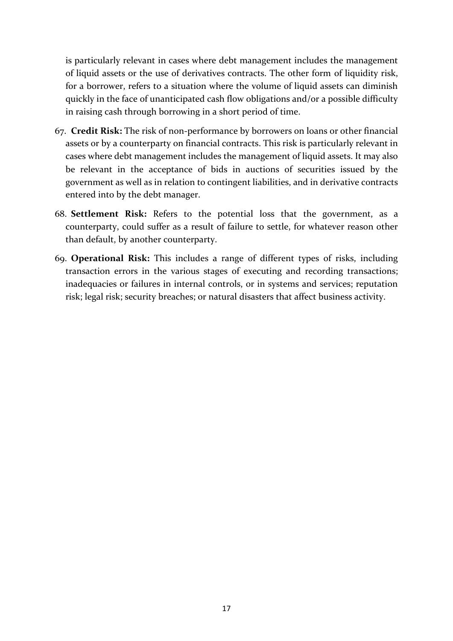is particularly relevant in cases where debt management includes the management of liquid assets or the use of derivatives contracts. The other form of liquidity risk, for a borrower, refers to a situation where the volume of liquid assets can diminish quickly in the face of unanticipated cash flow obligations and/or a possible difficulty in raising cash through borrowing in a short period of time.

- 67. **Credit Risk:** The risk of non-performance by borrowers on loans or other financial assets or by a counterparty on financial contracts. This risk is particularly relevant in cases where debt management includes the management of liquid assets. It may also be relevant in the acceptance of bids in auctions of securities issued by the government as well as in relation to contingent liabilities, and in derivative contracts entered into by the debt manager.
- 68. **Settlement Risk:** Refers to the potential loss that the government, as a counterparty, could suffer as a result of failure to settle, for whatever reason other than default, by another counterparty.
- 69. **Operational Risk:** This includes a range of different types of risks, including transaction errors in the various stages of executing and recording transactions; inadequacies or failures in internal controls, or in systems and services; reputation risk; legal risk; security breaches; or natural disasters that affect business activity.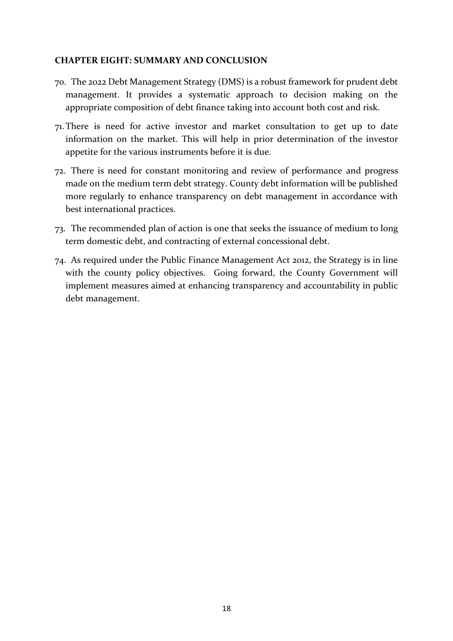#### <span id="page-28-0"></span>**CHAPTER EIGHT: SUMMARY AND CONCLUSION**

- 70. The 2022 Debt Management Strategy (DMS) is a robust framework for prudent debt management. It provides a systematic approach to decision making on the appropriate composition of debt finance taking into account both cost and risk.
- 71.There is need for active investor and market consultation to get up to date information on the market. This will help in prior determination of the investor appetite for the various instruments before it is due.
- 72. There is need for constant monitoring and review of performance and progress made on the medium term debt strategy. County debt information will be published more regularly to enhance transparency on debt management in accordance with best international practices.
- 73. The recommended plan of action is one that seeks the issuance of medium to long term domestic debt, and contracting of external concessional debt.
- 74. As required under the Public Finance Management Act 2012, the Strategy is in line with the county policy objectives. Going forward, the County Government will implement measures aimed at enhancing transparency and accountability in public debt management.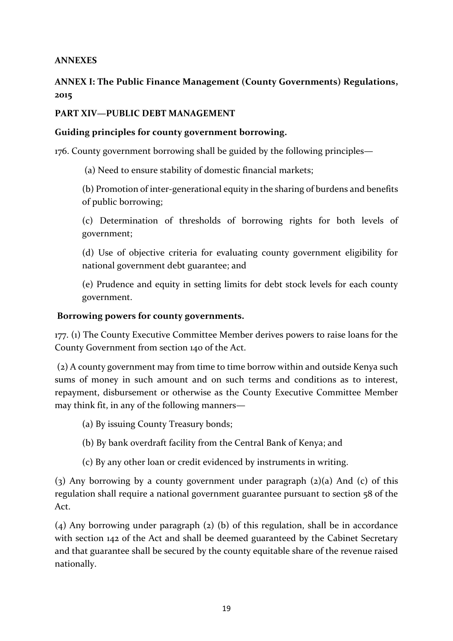# <span id="page-29-0"></span>**ANNEXES**

# **ANNEX I: The Public Finance Management (County Governments) Regulations, 2015**

# **PART XIV—PUBLIC DEBT MANAGEMENT**

## **Guiding principles for county government borrowing.**

176. County government borrowing shall be guided by the following principles—

(a) Need to ensure stability of domestic financial markets;

(b) Promotion of inter-generational equity in the sharing of burdens and benefits of public borrowing;

(c) Determination of thresholds of borrowing rights for both levels of government;

(d) Use of objective criteria for evaluating county government eligibility for national government debt guarantee; and

(e) Prudence and equity in setting limits for debt stock levels for each county government.

#### **Borrowing powers for county governments.**

177. (1) The County Executive Committee Member derives powers to raise loans for the County Government from section 140 of the Act.

(2) A county government may from time to time borrow within and outside Kenya such sums of money in such amount and on such terms and conditions as to interest, repayment, disbursement or otherwise as the County Executive Committee Member may think fit, in any of the following manners—

- (a) By issuing County Treasury bonds;
- (b) By bank overdraft facility from the Central Bank of Kenya; and
- (c) By any other loan or credit evidenced by instruments in writing.

(3) Any borrowing by a county government under paragraph  $(2)(a)$  And  $(c)$  of this regulation shall require a national government guarantee pursuant to section 58 of the Act.

(4) Any borrowing under paragraph (2) (b) of this regulation, shall be in accordance with section 142 of the Act and shall be deemed guaranteed by the Cabinet Secretary and that guarantee shall be secured by the county equitable share of the revenue raised nationally.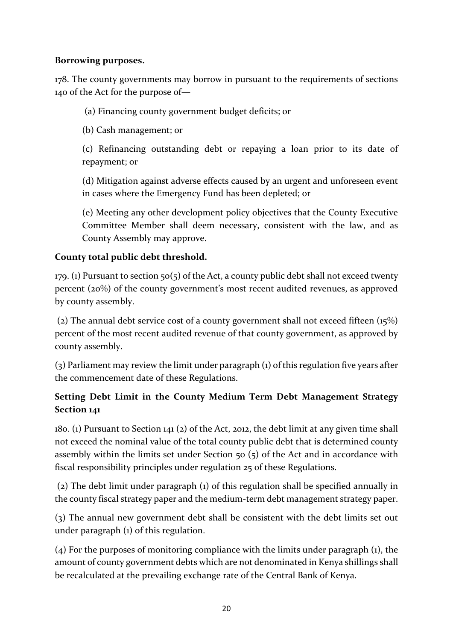# **Borrowing purposes.**

178. The county governments may borrow in pursuant to the requirements of sections 140 of the Act for the purpose of—

(a) Financing county government budget deficits; or

(b) Cash management; or

(c) Refinancing outstanding debt or repaying a loan prior to its date of repayment; or

(d) Mitigation against adverse effects caused by an urgent and unforeseen event in cases where the Emergency Fund has been depleted; or

(e) Meeting any other development policy objectives that the County Executive Committee Member shall deem necessary, consistent with the law, and as County Assembly may approve.

# **County total public debt threshold.**

179. (1) Pursuant to section  $50(5)$  of the Act, a county public debt shall not exceed twenty percent (20%) of the county government's most recent audited revenues, as approved by county assembly.

(2) The annual debt service cost of a county government shall not exceed fifteen (15%) percent of the most recent audited revenue of that county government, as approved by county assembly.

(3) Parliament may review the limit under paragraph (1) of this regulation five years after the commencement date of these Regulations.

# **Setting Debt Limit in the County Medium Term Debt Management Strategy Section 141**

180. (1) Pursuant to Section 141 (2) of the Act, 2012, the debt limit at any given time shall not exceed the nominal value of the total county public debt that is determined county assembly within the limits set under Section 50 (5) of the Act and in accordance with fiscal responsibility principles under regulation 25 of these Regulations.

(2) The debt limit under paragraph (1) of this regulation shall be specified annually in the county fiscal strategy paper and the medium-term debt management strategy paper.

(3) The annual new government debt shall be consistent with the debt limits set out under paragraph (1) of this regulation.

(4) For the purposes of monitoring compliance with the limits under paragraph (1), the amount of county government debts which are not denominated in Kenya shillings shall be recalculated at the prevailing exchange rate of the Central Bank of Kenya.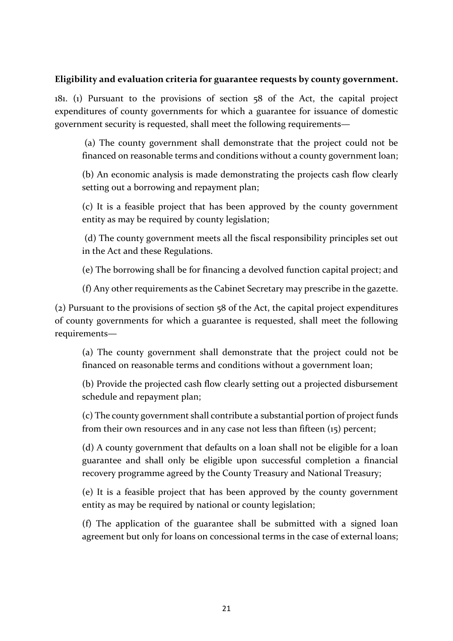#### **Eligibility and evaluation criteria for guarantee requests by county government.**

181. (1) Pursuant to the provisions of section 58 of the Act, the capital project expenditures of county governments for which a guarantee for issuance of domestic government security is requested, shall meet the following requirements—

(a) The county government shall demonstrate that the project could not be financed on reasonable terms and conditions without a county government loan;

(b) An economic analysis is made demonstrating the projects cash flow clearly setting out a borrowing and repayment plan;

(c) It is a feasible project that has been approved by the county government entity as may be required by county legislation;

(d) The county government meets all the fiscal responsibility principles set out in the Act and these Regulations.

(e) The borrowing shall be for financing a devolved function capital project; and

(f) Any other requirements as the Cabinet Secretary may prescribe in the gazette.

(2) Pursuant to the provisions of section 58 of the Act, the capital project expenditures of county governments for which a guarantee is requested, shall meet the following requirements—

(a) The county government shall demonstrate that the project could not be financed on reasonable terms and conditions without a government loan;

(b) Provide the projected cash flow clearly setting out a projected disbursement schedule and repayment plan;

(c) The county government shall contribute a substantial portion of project funds from their own resources and in any case not less than fifteen (15) percent;

(d) A county government that defaults on a loan shall not be eligible for a loan guarantee and shall only be eligible upon successful completion a financial recovery programme agreed by the County Treasury and National Treasury;

(e) It is a feasible project that has been approved by the county government entity as may be required by national or county legislation;

(f) The application of the guarantee shall be submitted with a signed loan agreement but only for loans on concessional terms in the case of external loans;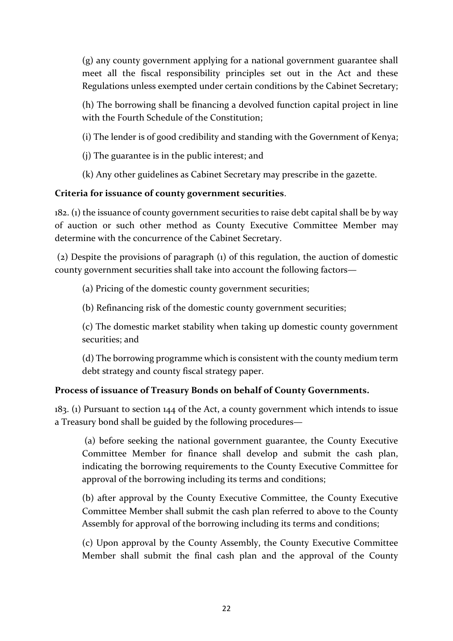(g) any county government applying for a national government guarantee shall meet all the fiscal responsibility principles set out in the Act and these Regulations unless exempted under certain conditions by the Cabinet Secretary;

(h) The borrowing shall be financing a devolved function capital project in line with the Fourth Schedule of the Constitution;

(i) The lender is of good credibility and standing with the Government of Kenya;

(j) The guarantee is in the public interest; and

(k) Any other guidelines as Cabinet Secretary may prescribe in the gazette.

# **Criteria for issuance of county government securities**.

182. (1) the issuance of county government securities to raise debt capital shall be by way of auction or such other method as County Executive Committee Member may determine with the concurrence of the Cabinet Secretary.

(2) Despite the provisions of paragraph (1) of this regulation, the auction of domestic county government securities shall take into account the following factors—

(a) Pricing of the domestic county government securities;

(b) Refinancing risk of the domestic county government securities;

(c) The domestic market stability when taking up domestic county government securities; and

(d) The borrowing programme which is consistent with the county medium term debt strategy and county fiscal strategy paper.

# **Process of issuance of Treasury Bonds on behalf of County Governments.**

183. (1) Pursuant to section 144 of the Act, a county government which intends to issue a Treasury bond shall be guided by the following procedures—

(a) before seeking the national government guarantee, the County Executive Committee Member for finance shall develop and submit the cash plan, indicating the borrowing requirements to the County Executive Committee for approval of the borrowing including its terms and conditions;

(b) after approval by the County Executive Committee, the County Executive Committee Member shall submit the cash plan referred to above to the County Assembly for approval of the borrowing including its terms and conditions;

(c) Upon approval by the County Assembly, the County Executive Committee Member shall submit the final cash plan and the approval of the County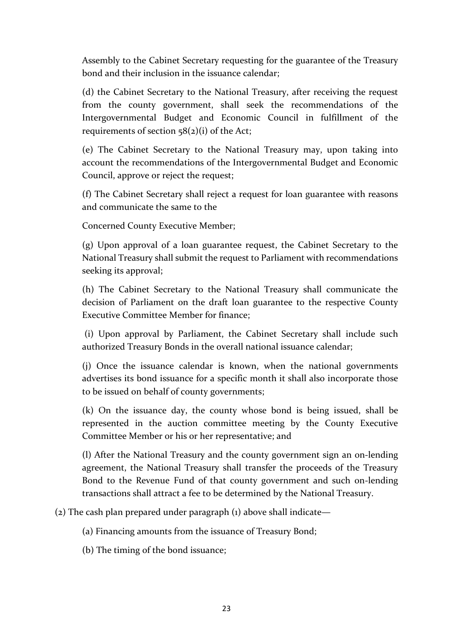Assembly to the Cabinet Secretary requesting for the guarantee of the Treasury bond and their inclusion in the issuance calendar;

(d) the Cabinet Secretary to the National Treasury, after receiving the request from the county government, shall seek the recommendations of the Intergovernmental Budget and Economic Council in fulfillment of the requirements of section  $58(2)(i)$  of the Act;

(e) The Cabinet Secretary to the National Treasury may, upon taking into account the recommendations of the Intergovernmental Budget and Economic Council, approve or reject the request;

(f) The Cabinet Secretary shall reject a request for loan guarantee with reasons and communicate the same to the

Concerned County Executive Member;

(g) Upon approval of a loan guarantee request, the Cabinet Secretary to the National Treasury shall submit the request to Parliament with recommendations seeking its approval;

(h) The Cabinet Secretary to the National Treasury shall communicate the decision of Parliament on the draft loan guarantee to the respective County Executive Committee Member for finance;

(i) Upon approval by Parliament, the Cabinet Secretary shall include such authorized Treasury Bonds in the overall national issuance calendar;

(j) Once the issuance calendar is known, when the national governments advertises its bond issuance for a specific month it shall also incorporate those to be issued on behalf of county governments;

(k) On the issuance day, the county whose bond is being issued, shall be represented in the auction committee meeting by the County Executive Committee Member or his or her representative; and

(l) After the National Treasury and the county government sign an on-lending agreement, the National Treasury shall transfer the proceeds of the Treasury Bond to the Revenue Fund of that county government and such on-lending transactions shall attract a fee to be determined by the National Treasury.

(2) The cash plan prepared under paragraph (1) above shall indicate—

(a) Financing amounts from the issuance of Treasury Bond;

(b) The timing of the bond issuance;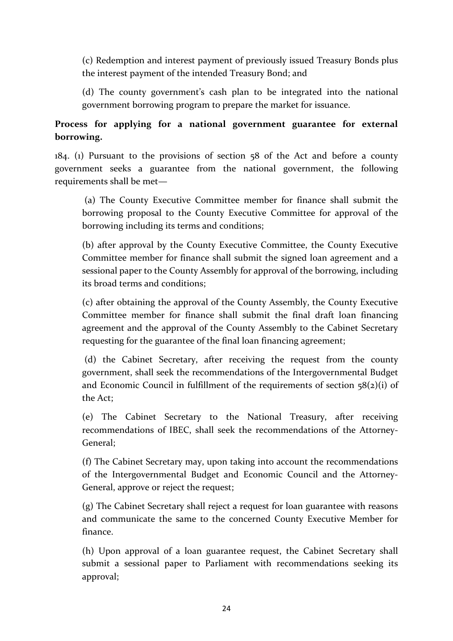(c) Redemption and interest payment of previously issued Treasury Bonds plus the interest payment of the intended Treasury Bond; and

(d) The county government's cash plan to be integrated into the national government borrowing program to prepare the market for issuance.

# **Process for applying for a national government guarantee for external borrowing.**

184. (1) Pursuant to the provisions of section 58 of the Act and before a county government seeks a guarantee from the national government, the following requirements shall be met—

(a) The County Executive Committee member for finance shall submit the borrowing proposal to the County Executive Committee for approval of the borrowing including its terms and conditions;

(b) after approval by the County Executive Committee, the County Executive Committee member for finance shall submit the signed loan agreement and a sessional paper to the County Assembly for approval of the borrowing, including its broad terms and conditions;

(c) after obtaining the approval of the County Assembly, the County Executive Committee member for finance shall submit the final draft loan financing agreement and the approval of the County Assembly to the Cabinet Secretary requesting for the guarantee of the final loan financing agreement;

(d) the Cabinet Secretary, after receiving the request from the county government, shall seek the recommendations of the Intergovernmental Budget and Economic Council in fulfillment of the requirements of section  $58(2)(i)$  of the Act;

(e) The Cabinet Secretary to the National Treasury, after receiving recommendations of IBEC, shall seek the recommendations of the Attorney-General;

(f) The Cabinet Secretary may, upon taking into account the recommendations of the Intergovernmental Budget and Economic Council and the Attorney-General, approve or reject the request;

(g) The Cabinet Secretary shall reject a request for loan guarantee with reasons and communicate the same to the concerned County Executive Member for finance.

(h) Upon approval of a loan guarantee request, the Cabinet Secretary shall submit a sessional paper to Parliament with recommendations seeking its approval;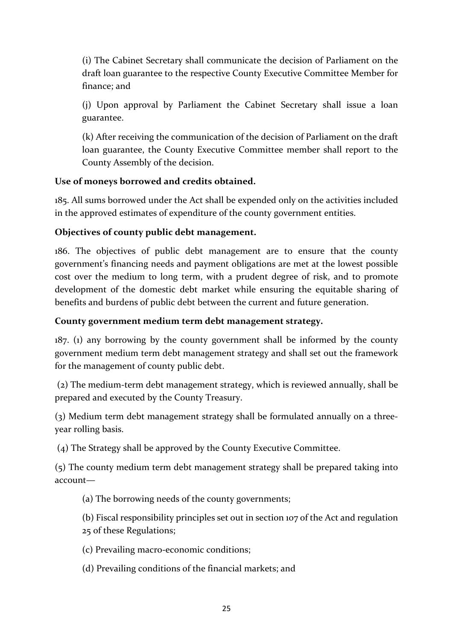(i) The Cabinet Secretary shall communicate the decision of Parliament on the draft loan guarantee to the respective County Executive Committee Member for finance; and

(j) Upon approval by Parliament the Cabinet Secretary shall issue a loan guarantee.

(k) After receiving the communication of the decision of Parliament on the draft loan guarantee, the County Executive Committee member shall report to the County Assembly of the decision.

# **Use of moneys borrowed and credits obtained.**

185. All sums borrowed under the Act shall be expended only on the activities included in the approved estimates of expenditure of the county government entities.

# **Objectives of county public debt management.**

186. The objectives of public debt management are to ensure that the county government's financing needs and payment obligations are met at the lowest possible cost over the medium to long term, with a prudent degree of risk, and to promote development of the domestic debt market while ensuring the equitable sharing of benefits and burdens of public debt between the current and future generation.

## **County government medium term debt management strategy.**

187. (1) any borrowing by the county government shall be informed by the county government medium term debt management strategy and shall set out the framework for the management of county public debt.

(2) The medium-term debt management strategy, which is reviewed annually, shall be prepared and executed by the County Treasury.

(3) Medium term debt management strategy shall be formulated annually on a threeyear rolling basis.

(4) The Strategy shall be approved by the County Executive Committee.

(5) The county medium term debt management strategy shall be prepared taking into account—

- (a) The borrowing needs of the county governments;
- (b) Fiscal responsibility principles set out in section 107 of the Act and regulation 25 of these Regulations;
- (c) Prevailing macro-economic conditions;
- (d) Prevailing conditions of the financial markets; and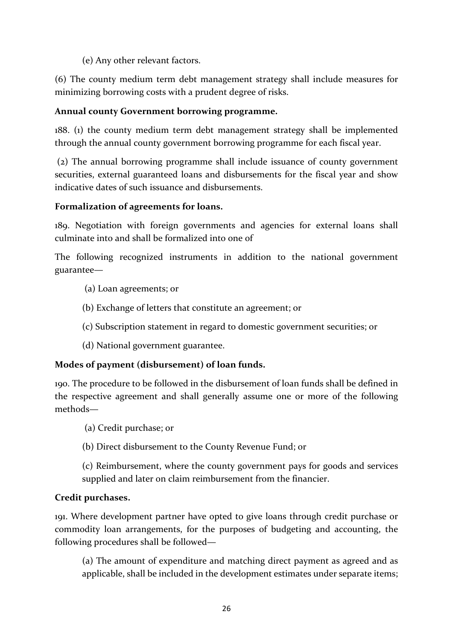(e) Any other relevant factors.

(6) The county medium term debt management strategy shall include measures for minimizing borrowing costs with a prudent degree of risks.

# **Annual county Government borrowing programme.**

188. (1) the county medium term debt management strategy shall be implemented through the annual county government borrowing programme for each fiscal year.

(2) The annual borrowing programme shall include issuance of county government securities, external guaranteed loans and disbursements for the fiscal year and show indicative dates of such issuance and disbursements.

# **Formalization of agreements for loans.**

189. Negotiation with foreign governments and agencies for external loans shall culminate into and shall be formalized into one of

The following recognized instruments in addition to the national government guarantee—

- (a) Loan agreements; or
- (b) Exchange of letters that constitute an agreement; or
- (c) Subscription statement in regard to domestic government securities; or
- (d) National government guarantee.

# **Modes of payment (disbursement) of loan funds.**

190. The procedure to be followed in the disbursement of loan funds shall be defined in the respective agreement and shall generally assume one or more of the following methods—

(a) Credit purchase; or

(b) Direct disbursement to the County Revenue Fund; or

(c) Reimbursement, where the county government pays for goods and services supplied and later on claim reimbursement from the financier.

# **Credit purchases.**

191. Where development partner have opted to give loans through credit purchase or commodity loan arrangements, for the purposes of budgeting and accounting, the following procedures shall be followed—

(a) The amount of expenditure and matching direct payment as agreed and as applicable, shall be included in the development estimates under separate items;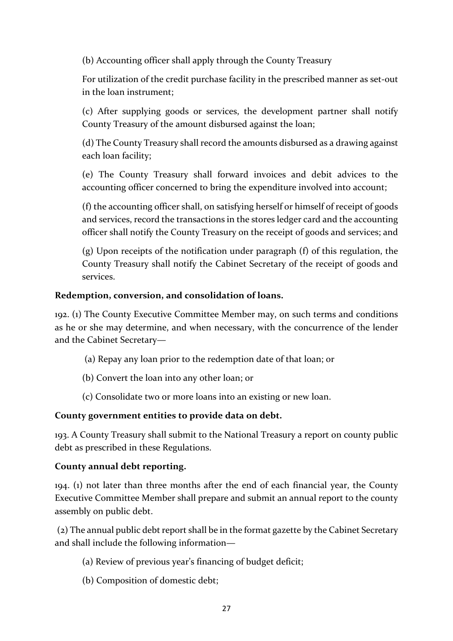(b) Accounting officer shall apply through the County Treasury

For utilization of the credit purchase facility in the prescribed manner as set-out in the loan instrument;

(c) After supplying goods or services, the development partner shall notify County Treasury of the amount disbursed against the loan;

(d) The County Treasury shall record the amounts disbursed as a drawing against each loan facility;

(e) The County Treasury shall forward invoices and debit advices to the accounting officer concerned to bring the expenditure involved into account;

(f) the accounting officer shall, on satisfying herself or himself of receipt of goods and services, record the transactions in the stores ledger card and the accounting officer shall notify the County Treasury on the receipt of goods and services; and

(g) Upon receipts of the notification under paragraph (f) of this regulation, the County Treasury shall notify the Cabinet Secretary of the receipt of goods and services.

# **Redemption, conversion, and consolidation of loans.**

192. (1) The County Executive Committee Member may, on such terms and conditions as he or she may determine, and when necessary, with the concurrence of the lender and the Cabinet Secretary—

- (a) Repay any loan prior to the redemption date of that loan; or
- (b) Convert the loan into any other loan; or
- (c) Consolidate two or more loans into an existing or new loan.

## **County government entities to provide data on debt.**

193. A County Treasury shall submit to the National Treasury a report on county public debt as prescribed in these Regulations.

## **County annual debt reporting.**

194. (1) not later than three months after the end of each financial year, the County Executive Committee Member shall prepare and submit an annual report to the county assembly on public debt.

(2) The annual public debt report shall be in the format gazette by the Cabinet Secretary and shall include the following information—

- (a) Review of previous year's financing of budget deficit;
- (b) Composition of domestic debt;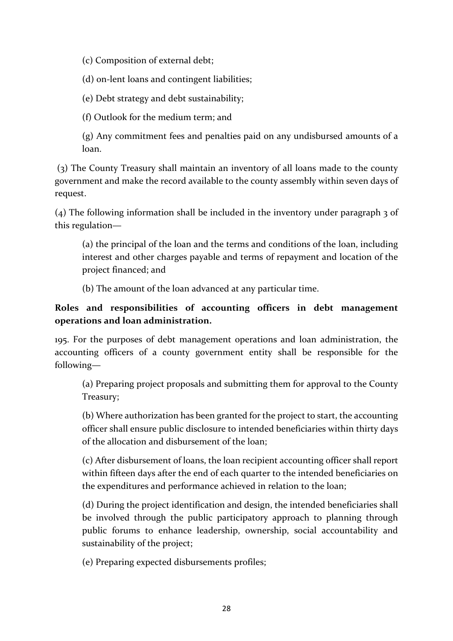(c) Composition of external debt;

(d) on-lent loans and contingent liabilities;

(e) Debt strategy and debt sustainability;

(f) Outlook for the medium term; and

(g) Any commitment fees and penalties paid on any undisbursed amounts of a loan.

(3) The County Treasury shall maintain an inventory of all loans made to the county government and make the record available to the county assembly within seven days of request.

(4) The following information shall be included in the inventory under paragraph 3 of this regulation—

(a) the principal of the loan and the terms and conditions of the loan, including interest and other charges payable and terms of repayment and location of the project financed; and

(b) The amount of the loan advanced at any particular time.

# **Roles and responsibilities of accounting officers in debt management operations and loan administration.**

195. For the purposes of debt management operations and loan administration, the accounting officers of a county government entity shall be responsible for the following—

(a) Preparing project proposals and submitting them for approval to the County Treasury;

(b) Where authorization has been granted for the project to start, the accounting officer shall ensure public disclosure to intended beneficiaries within thirty days of the allocation and disbursement of the loan;

(c) After disbursement of loans, the loan recipient accounting officer shall report within fifteen days after the end of each quarter to the intended beneficiaries on the expenditures and performance achieved in relation to the loan;

(d) During the project identification and design, the intended beneficiaries shall be involved through the public participatory approach to planning through public forums to enhance leadership, ownership, social accountability and sustainability of the project;

(e) Preparing expected disbursements profiles;